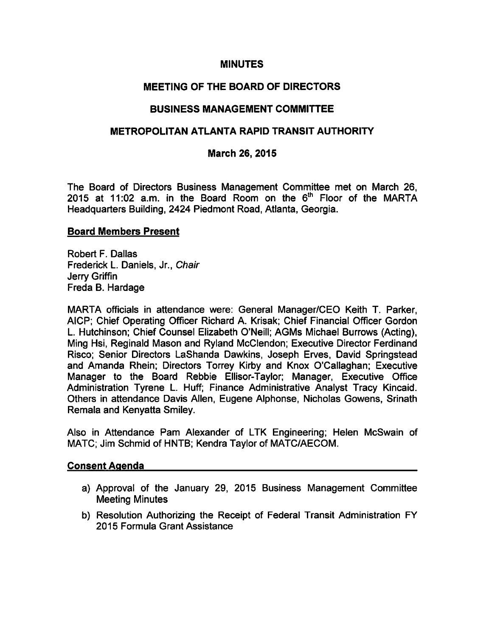## MINUTES

# MEETING OF THE BOARD OF DIRECTORS

## BUSINESS MANAGEMENT COMMITTEE

## METROPOLITAN ATLANTA RAPID TRANSIT AUTHORITY

## March 26, 2015

The Board of Directors Business Management Committee met on March 26, 2015 at 11:02 a.m. in the Board Room on the  $6<sup>th</sup>$  Floor of the MARTA Headquarters Building, 2424 Piedmont Road, Atlanta, Georgia.

#### Board Members Present

Robert F. Dallas Frederick L. Daniels, Jr., Chair Jerry Griffin Freda B. Hardage

MARTA officials in attendance were: General Manager/CEO Keith T. Parker, AICP; Chief Operating Officer Richard A. Krisak; Chief Financial Officer Gordon L. Hutchinson; Chief Counsel Elizabeth O'Neill; AGMs Michael Burrows (Acting), Ming Hsi, Reginald Mason and Ryland McClendon; Executive Director Ferdinand Risco; Senior Directors LaShanda Dawkins, Joseph Erves, David Springstead and Amanda Rhein; Directors Torrey Kirby and Knox O'Callaghan; Executive Manager to the Board Rebbie Ellisor-Taylor; Manager, Executive Office Administration Tyrene L. Huff; Finance Administrative Analyst Tracy Kincaid. Others in attendance Davis Allen, Eugene Alphonse, Nicholas Gowens, Srinath Remala and Kenyatta Smiley.

Also in Attendance Pam Alexander of LTK Engineering; Helen McSwain of MATC; Jim Schmid of HNTB; Kendra Taylor of MATC/AECOM.

#### Consent Agenda

- a) Approval of the January 29, 2015 Business Management Committee Meeting Minutes
- b) Resolution Authorizing the Receipt of Federal Transit Administration FY 2015 Formula Grant Assistance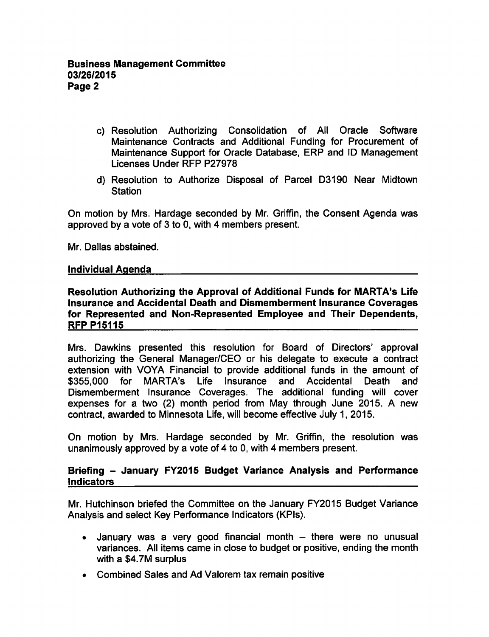- c) Resolution Authorizing Consolidation of All Oracle Software Maintenance Contracts and Additional Funding for Procurement of Maintenance Support for Oracle Database, ERP and ID Management Licenses Under RFP P27978
- d) Resolution to Authorize Disposal of Parcel D3190 Near Midtown **Station**

On motion by Mrs. Hardage seconded by Mr. Griffin, the Consent Agenda was approved by a vote of  $3$  to 0, with 4 members present.

Mr. Dallas abstained.

## Individual Agenda

Resolution Authorizing the Approval of Additional Funds for MARTA's Life Insurance and Accidental Death and Dismemberment Insurance Coverages for Represented and Non-Represented Employee and Their Dependents, **RFP P15115** 

Mrs. Dawkins presented this resolution for Board of Directors' approval authorizing the General Manager/CEO or his delegate to execute a contract extension with VOYA Financial to provide additional funds in the amount of \$355,000 for MARTA's Life Insurance and Accidental Death and Dismemberment Insurance Coverages. The additional funding will cover expenses for a two  $(2)$  month period from May through June 2015. A new contract, awarded to Minnesota Life, will become effective July 1, 2015.

On motion by Mrs. Hardage seconded by Mr. Griffin, the resolution was unanimously approved by a vote of 4 to 0, with 4 members present.

## Briefing - January FY2015 Budget Variance Analysis and Performance Indicators

Mr. Hutchinson briefed the Committee on the January FY2015 Budget Variance Analysis and select Key Performance Indicators (KPIs).

- January was a very good financial month  $-$  there were no unusual  $\bullet$ variances. All items came in close to budget or positive, ending the month with a \$4.7M surplus
- Combined Sales and Ad Valorem tax remain positive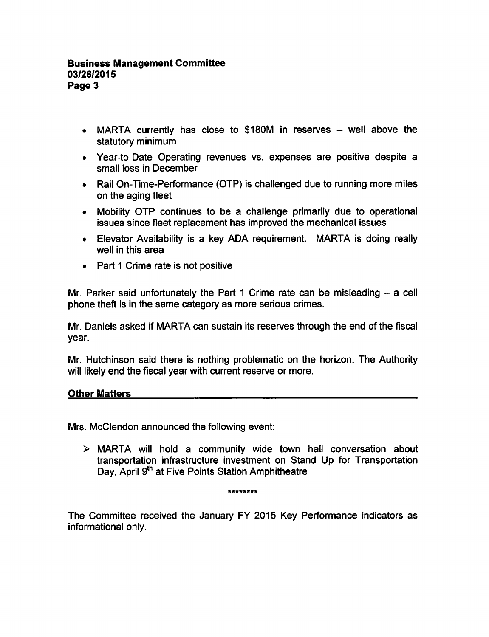- MARTA currently has close to \$180M in reserves  $-$  well above the statutory minimum
- Year-to-Date Operating revenues vs. expenses are positive despite a small loss in December
- Rail On-Time-Performance (OTP) is challenged due to running more miles on the aging fleet
- Mobility OTP continues to be a challenge primarily due to operational issues since fleet replacement has improved the mechanical issues
- Elevator Availability is a key ADA requirement. MARTA is doing really well in this area
- Part 1 Crime rate is not positive

Mr. Parker said unfortunately the Part 1 Crime rate can be misleading  $-$  a cell phone theft is in the same category as more serious crimes.

Mr. Daniels asked if MARTA can sustain its reserves through the end of the fiscal year.

Mr. Hutchinson said there is nothing problematic on the horizon. The Authority will likely end the fiscal year with current reserve or more.

## Other Matters

Mrs. McClendon announced the following event:

 $\triangleright$  MARTA will hold a community wide town hall conversation about transportation infrastructure investment on Stand Up for Transportation Day, April 9<sup>th</sup> at Five Points Station Amphitheatre

\*\*\*\*\*\*\*\*

The Committee received the January FY 2015 Key Performance indicators as informational only.